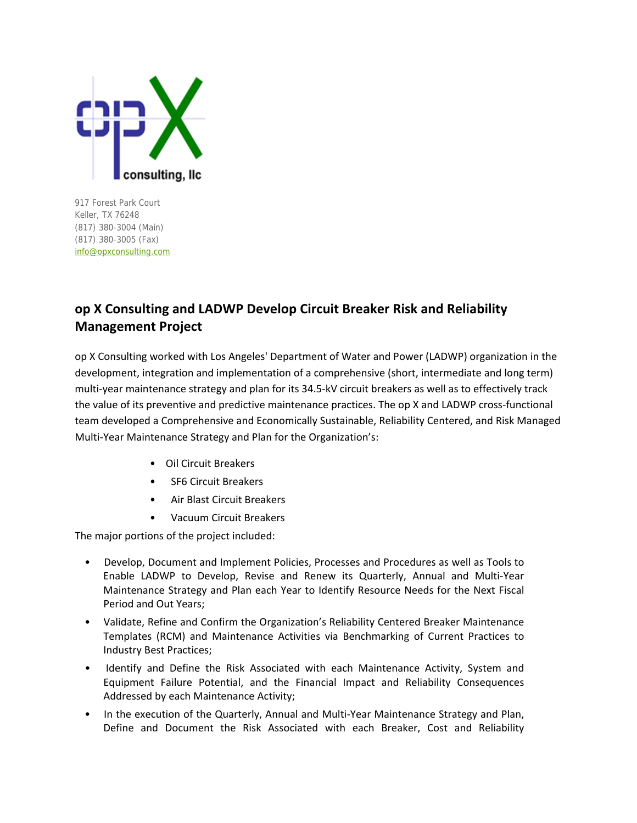

917 Forest Park Court Keller, TX 76248 (817) 380-3004 (Main) (817) 380-3005 (Fax) [info@opxconsulting.com](mailto:info@opxconsulting.com)

## **op X Consulting and LADWP Develop Circuit Breaker Risk and Reliability Management Project**

op X Consulting worked with Los Angeles' Department of Water and Power (LADWP) organization in the development, integration and implementation of a comprehensive (short, intermediate and long term) multi-year maintenance strategy and plan for its 34.5-kV circuit breakers as well as to effectively track the value of its preventive and predictive maintenance practices. The op X and LADWP cross-functional team developed a Comprehensive and Economically Sustainable, Reliability Centered, and Risk Managed Multi‐Year Maintenance Strategy and Plan for the Organization's:

- Oil Circuit Breakers
- SF6 Circuit Breakers
- Air Blast Circuit Breakers
- Vacuum Circuit Breakers

The major portions of the project included:

- Develop, Document and Implement Policies, Processes and Procedures as well as Tools to Enable LADWP to Develop, Revise and Renew its Quarterly, Annual and Multi‐Year Maintenance Strategy and Plan each Year to Identify Resource Needs for the Next Fiscal Period and Out Years;
- Validate, Refine and Confirm the Organization's Reliability Centered Breaker Maintenance Templates (RCM) and Maintenance Activities via Benchmarking of Current Practices to Industry Best Practices;
- Identify and Define the Risk Associated with each Maintenance Activity, System and Equipment Failure Potential, and the Financial Impact and Reliability Consequences Addressed by each Maintenance Activity;
- In the execution of the Quarterly, Annual and Multi-Year Maintenance Strategy and Plan, Define and Document the Risk Associated with each Breaker, Cost and Reliability